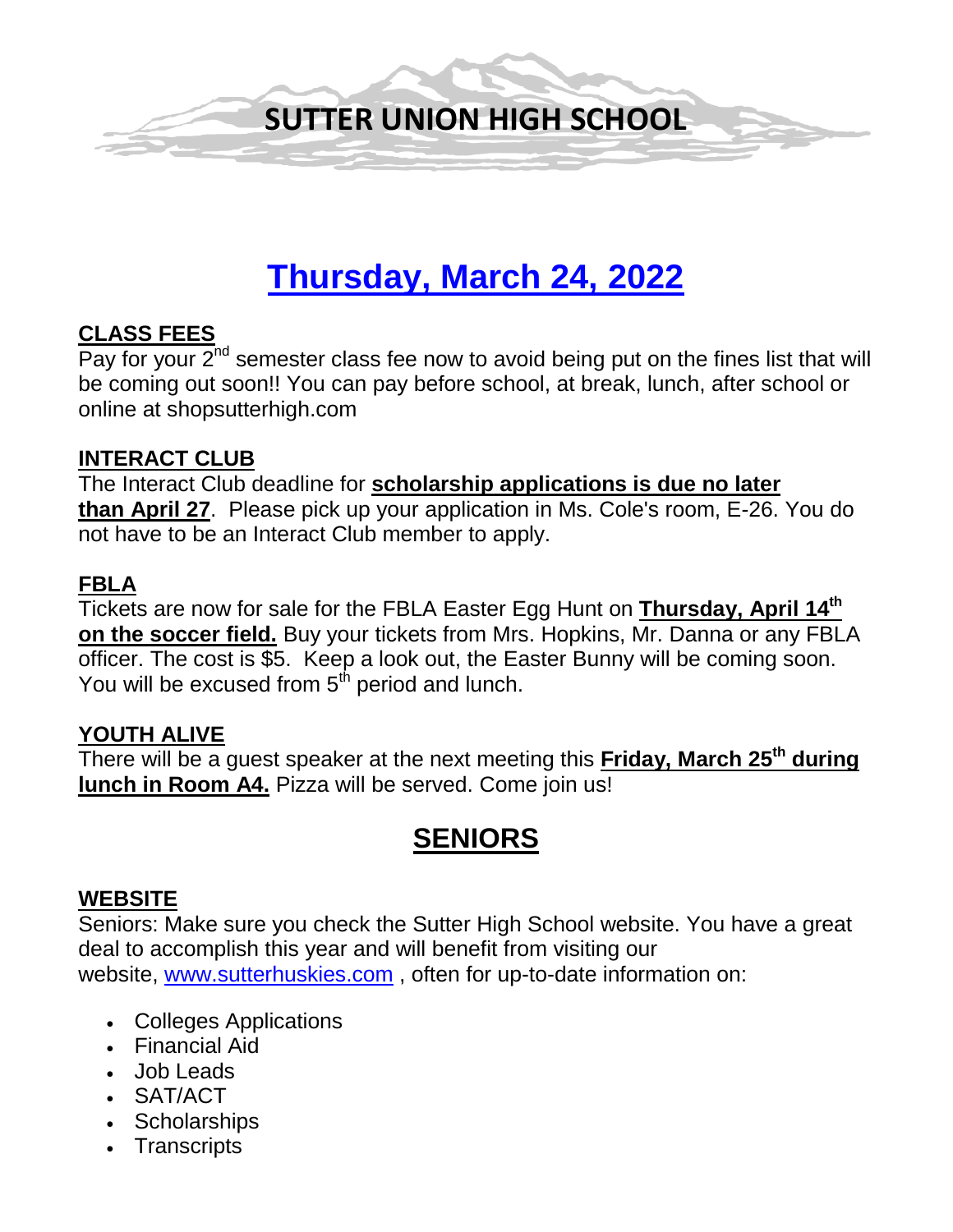

# **Thursday, March 24, 2022**

### **CLASS FEES**

Pay for your  $2^{nd}$  semester class fee now to avoid being put on the fines list that will be coming out soon!! You can pay before school, at break, lunch, after school or online at shopsutterhigh.com

#### **INTERACT CLUB**

The Interact Club deadline for **scholarship applications is due no later than April 27**. Please pick up your application in Ms. Cole's room, E-26. You do not have to be an Interact Club member to apply.

### **FBLA**

Tickets are now for sale for the FBLA Easter Egg Hunt on **Thursday, April 14th on the soccer field.** Buy your tickets from Mrs. Hopkins, Mr. Danna or any FBLA officer. The cost is \$5. Keep a look out, the Easter Bunny will be coming soon. You will be excused from 5<sup>th</sup> period and lunch.

### **YOUTH ALIVE**

There will be a guest speaker at the next meeting this **Friday, March 25th during lunch in Room A4.** Pizza will be served. Come join us!

# **SENIORS**

### **WEBSITE**

Seniors: Make sure you check the Sutter High School website. You have a great deal to accomplish this year and will benefit from visiting our website, [www.sutterhuskies.com](http://www.sutterhuskies.com/) , often for up-to-date information on:

- Colleges Applications
- Financial Aid
- Job Leads
- SAT/ACT
- Scholarships
- Transcripts